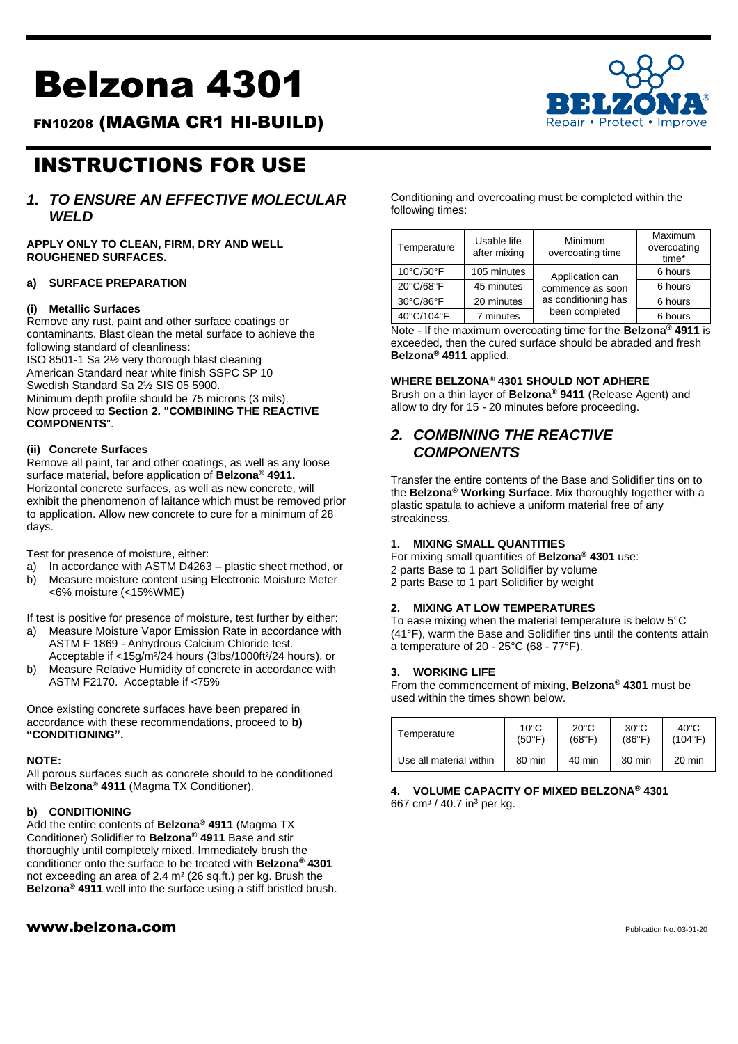# Belzona 4301

FN10208 (MAGMA CR1 HI-BUILD)



## INSTRUCTIONS FOR USE

### *1. TO ENSURE AN EFFECTIVE MOLECULAR WELD*

**APPLY ONLY TO CLEAN, FIRM, DRY AND WELL ROUGHENED SURFACES.**

#### **a) SURFACE PREPARATION**

#### **(i) Metallic Surfaces**

Remove any rust, paint and other surface coatings or contaminants. Blast clean the metal surface to achieve the following standard of cleanliness: ISO 8501-1 Sa 2½ very thorough blast cleaning American Standard near white finish SSPC SP 10 Swedish Standard Sa 2½ SIS 05 5900. Minimum depth profile should be 75 microns (3 mils). Now proceed to **Section 2. "COMBINING THE REACTIVE COMPONENTS**".

#### **(ii) Concrete Surfaces**

Remove all paint, tar and other coatings, as well as any loose surface material, before application of **Belzona® 4911.** Horizontal concrete surfaces, as well as new concrete, will exhibit the phenomenon of laitance which must be removed prior to application. Allow new concrete to cure for a minimum of 28 days.

Test for presence of moisture, either:

- a) In accordance with ASTM D4263 plastic sheet method, or
- b) Measure moisture content using Electronic Moisture Meter <6% moisture (<15%WME)

If test is positive for presence of moisture, test further by either:

a) Measure Moisture Vapor Emission Rate in accordance with ASTM F 1869 - Anhydrous Calcium Chloride test.

Acceptable if <15g/m²/24 hours (3lbs/1000ft²/24 hours), or b) Measure Relative Humidity of concrete in accordance with ASTM F2170. Acceptable if <75%

Once existing concrete surfaces have been prepared in accordance with these recommendations, proceed to **b) "CONDITIONING".**

#### **NOTE:**

All porous surfaces such as concrete should to be conditioned with **Belzona® 4911** (Magma TX Conditioner).

#### **b) CONDITIONING**

Add the entire contents of **Belzona® 4911** (Magma TX Conditioner) Solidifier to **Belzona® 4911** Base and stir thoroughly until completely mixed. Immediately brush the conditioner onto the surface to be treated with **Belzona® 4301** not exceeding an area of 2.4 m² (26 sq.ft.) per kg. Brush the **Belzona® 4911** well into the surface using a stiff bristled brush.

#### $www.beIzona.com$

Conditioning and overcoating must be completed within the following times:

| Temperature | Usable life<br>after mixing | Minimum<br>overcoating time | Maximum<br>overcoating<br>time* |
|-------------|-----------------------------|-----------------------------|---------------------------------|
| 10°C/50°F   | 105 minutes                 | Application can             | 6 hours                         |
| 20°C/68°F   | 45 minutes                  | commence as soon            | 6 hours                         |
| 30°C/86°F   | 20 minutes                  | as conditioning has         | 6 hours                         |
| 40°C/104°F  | 7 minutes                   | been completed              | 6 hours                         |

Note - If the maximum overcoating time for the **Belzona® 4911** is exceeded, then the cured surface should be abraded and fresh **Belzona® 4911** applied.

#### **WHERE BELZONA® 4301 SHOULD NOT ADHERE**

Brush on a thin layer of **Belzona® 9411** (Release Agent) and allow to dry for 15 - 20 minutes before proceeding.

#### *2. COMBINING THE REACTIVE COMPONENTS*

Transfer the entire contents of the Base and Solidifier tins on to the **Belzona® Working Surface**. Mix thoroughly together with a plastic spatula to achieve a uniform material free of any streakiness.

#### **1. MIXING SMALL QUANTITIES**

For mixing small quantities of **Belzona® 4301** use: 2 parts Base to 1 part Solidifier by volume 2 parts Base to 1 part Solidifier by weight

#### **2. MIXING AT LOW TEMPERATURES**

To ease mixing when the material temperature is below 5°C (41°F), warm the Base and Solidifier tins until the contents attain a temperature of 20 - 25°C (68 - 77°F).

#### **3. WORKING LIFE**

From the commencement of mixing, **Belzona® 4301** must be used within the times shown below.

| Temperature             | $10^{\circ}$ C  | $20^{\circ}$ C | $30^{\circ}$ C   | $40^{\circ}$ C   |
|-------------------------|-----------------|----------------|------------------|------------------|
|                         | $(50^{\circ}F)$ | (68°F)         | (86°F)           | $(104^{\circ}F)$ |
| Use all material within | 80 min          | 40 min         | $30 \text{ min}$ | $20 \text{ min}$ |

#### **4. VOLUME CAPACITY OF MIXED BELZONA® 4301** 667 cm<sup>3</sup> / 40.7 in<sup>3</sup> per kg.